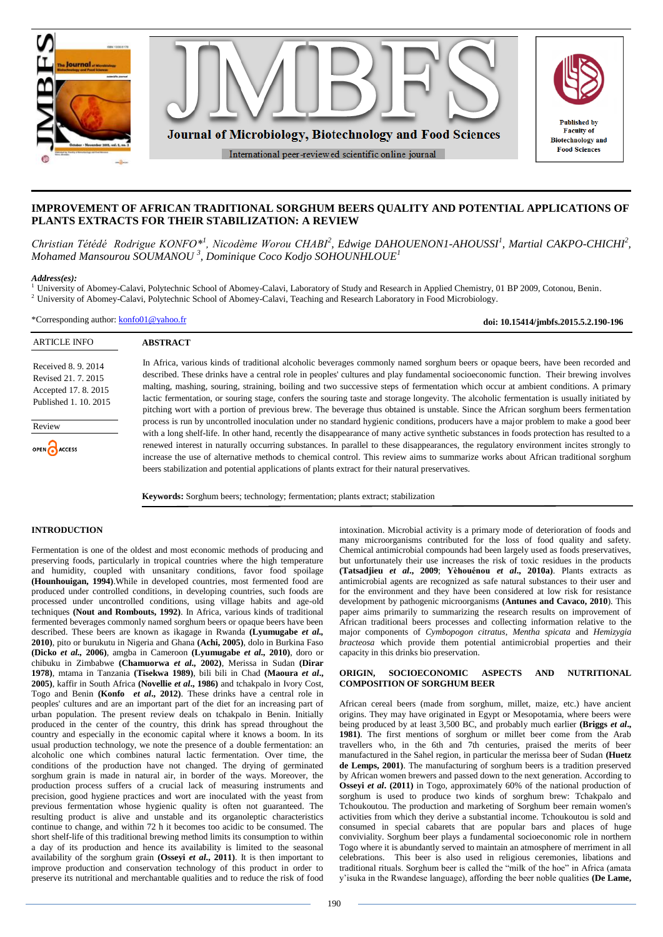

# **IMPROVEMENT OF AFRICAN TRADITIONAL SORGHUM BEERS QUALITY AND POTENTIAL APPLICATIONS OF PLANTS EXTRACTS FOR THEIR STABILIZATION: A REVIEW**

*Christian Tétédé Rodrigue KONFO<sup>\*</sup><sup>1</sup>, Nicodème Worou CHABI<sup>2</sup>, Edwige DAHOUENON1-AHOUSSI<sup>1</sup>, Martial CAKPO-CHICHI<sup>2</sup>, Mohamed Mansourou SOUMANOU <sup>3</sup> , Dominique Coco Kodjo SOHOUNHLOUE<sup>1</sup>*

#### *Address(es):*

<sup>1</sup> University of Abomey-Calavi, Polytechnic School of Abomey-Calavi, Laboratory of Study and Research in Applied Chemistry, 01 BP 2009, Cotonou, Benin. <sup>2</sup> University of Abomey-Calavi, Polytechnic School of Abomey-Calavi, Teaching and Research Laboratory in Food Microbiology.

\*Corresponding author: <konfo01@yahoo.fr>

**doi: 10.15414/jmbfs.2015.5.2.190-196**

| <b>ARTICLE INFO</b>                                                                                                   | <b>ABSTRACT</b>                                                                                                                                                                                                                                                                                                                                                                                                                                                                                                                                                                                                                                                                                                                                                                                                                                                                                                                                                                                                                                                                                                                                                                                                                                                                                                                                                                   |
|-----------------------------------------------------------------------------------------------------------------------|-----------------------------------------------------------------------------------------------------------------------------------------------------------------------------------------------------------------------------------------------------------------------------------------------------------------------------------------------------------------------------------------------------------------------------------------------------------------------------------------------------------------------------------------------------------------------------------------------------------------------------------------------------------------------------------------------------------------------------------------------------------------------------------------------------------------------------------------------------------------------------------------------------------------------------------------------------------------------------------------------------------------------------------------------------------------------------------------------------------------------------------------------------------------------------------------------------------------------------------------------------------------------------------------------------------------------------------------------------------------------------------|
| Received 8, 9, 2014<br>Revised 21, 7, 2015<br>Accepted 17, 8, 2015<br>Published 1, 10, 2015<br>Review<br>OPEN CACCESS | In Africa, various kinds of traditional alcoholic beverages commonly named sorghum beers or opaque beers, have been recorded and<br>described. These drinks have a central role in peoples' cultures and play fundamental socioeconomic function. Their brewing involves<br>malting, mashing, souring, straining, boiling and two successive steps of fermentation which occur at ambient conditions. A primary<br>lactic fermentation, or souring stage, confers the souring taste and storage longevity. The alcoholic fermentation is usually initiated by<br>pitching wort with a portion of previous brew. The beverage thus obtained is unstable. Since the African sorghum beers fermentation<br>process is run by uncontrolled inoculation under no standard hygienic conditions, producers have a major problem to make a good beer<br>with a long shelf-life. In other hand, recently the disappearance of many active synthetic substances in foods protection has resulted to a<br>renewed interest in naturally occurring substances. In parallel to these disappearances, the regulatory environment incites strongly to<br>increase the use of alternative methods to chemical control. This review aims to summarize works about African traditional sorghum<br>beers stabilization and potential applications of plants extract for their natural preservatives. |

**Keywords:** Sorghum beers; technology; fermentation; plants extract; stabilization

#### **INTRODUCTION**

Fermentation is one of the oldest and most economic methods of producing and preserving foods, particularly in tropical countries where the high temperature and humidity, coupled with unsanitary conditions, favor food spoilage **(Hounhouigan, 1994)**.While in developed countries, most fermented food are produced under controlled conditions, in developing countries, such foods are processed under uncontrolled conditions, using village habits and age-old techniques **(Nout and Rombouts, 1992)**. In Africa, various kinds of traditional fermented beverages commonly named sorghum beers or opaque beers have been described. These beers are known as ikagage in Rwanda **(Lyumugabe** *et al.,* **2010)**, pito or burukutu in Nigeria and Ghana **(Achi, 2005)**, dolo in Burkina Faso **(Dicko** *et al.,* **2006)**, amgba in Cameroon **(Lyumugabe** *et al.,* **2010)**, doro or chibuku in Zimbabwe **(Chamuorwa** *et al.,* **2002)**, Merissa in Sudan **(Dirar 1978)**, mtama in Tanzania **(Tisekwa 1989)**, bili bili in Chad **(Maoura** *et al***., 2005)**, kaffir in South Africa **(Novellie** *et al***., 1986)** and tchakpalo in Ivory Cost, Togo and Benin **(Konfo** *et al***., 2012)**. These drinks have a central role in peoples' cultures and are an important part of the diet for an increasing part of urban population. The present review deals on tchakpalo in Benin. Initially produced in the center of the country, this drink has spread throughout the country and especially in the economic capital where it knows a boom. In its usual production technology, we note the presence of a double fermentation: an alcoholic one which combines natural lactic fermentation. Over time, the conditions of the production have not changed. The drying of germinated sorghum grain is made in natural air, in border of the ways. Moreover, the production process suffers of a crucial lack of measuring instruments and precision, good hygiene practices and wort are inoculated with the yeast from previous fermentation whose hygienic quality is often not guaranteed. The resulting product is alive and unstable and its organoleptic characteristics continue to change, and within 72 h it becomes too acidic to be consumed. The short shelf-life of this traditional brewing method limits its consumption to within a day of its production and hence its availability is limited to the seasonal availability of the sorghum grain **(Osseyi** *et al***., 2011)**. It is then important to improve production and conservation technology of this product in order to preserve its nutritional and merchantable qualities and to reduce the risk of food

intoxination. Microbial activity is a primary mode of deterioration of foods and many microorganisms contributed for the loss of food quality and safety. Chemical antimicrobial compounds had been largely used as foods preservatives, but unfortunately their use increases the risk of toxic residues in the products **(Tatsadjieu** *et al***., 2009**; **Yèhouénou** *et al***., 2010a)**. Plants extracts as antimicrobial agents are recognized as safe natural substances to their user and for the environment and they have been considered at low risk for resistance development by pathogenic microorganisms **(Antunes and Cavaco, 2010**). This paper aims primarily to summarizing the research results on improvement of African traditional beers processes and collecting information relative to the major components of *Cymbopogon citratus*, *Mentha spicata* and *Hemizygia bracteosa* which provide them potential antimicrobial properties and their capacity in this drinks bio preservation.

#### **ORIGIN, SOCIOECONOMIC ASPECTS AND NUTRITIONAL COMPOSITION OF SORGHUM BEER**

African cereal beers (made from sorghum, millet, maize, etc.) have ancient origins. They may have originated in Egypt or Mesopotamia, where beers were being produced by at least 3,500 BC, and probably much earlier **(Briggs** *et al***., 1981)**. The first mentions of sorghum or millet beer come from the Arab travellers who, in the 6th and 7th centuries, praised the merits of beer manufactured in the Sahel region, in particular the merissa beer of Sudan **(Huetz de Lemps, 2001)**. The manufacturing of sorghum beers is a tradition preserved by African women brewers and passed down to the next generation. According to **Osseyi** *et al.* (2011) in Togo, approximately 60% of the national production of sorghum is used to produce two kinds of sorghum brew: Tchakpalo and Tchoukoutou. The production and marketing of Sorghum beer remain women's activities from which they derive a substantial income. Tchoukoutou is sold and consumed in special cabarets that are popular bars and places of huge conviviality. Sorghum beer plays a fundamental socioeconomic role in northern Togo where it is abundantly served to maintain an atmosphere of merriment in all celebrations. This beer is also used in religious ceremonies, libations and traditional rituals. Sorghum beer is called the "milk of the hoe" in Africa (amata y'isuka in the Rwandese language), affording the beer noble qualities **(De Lame,**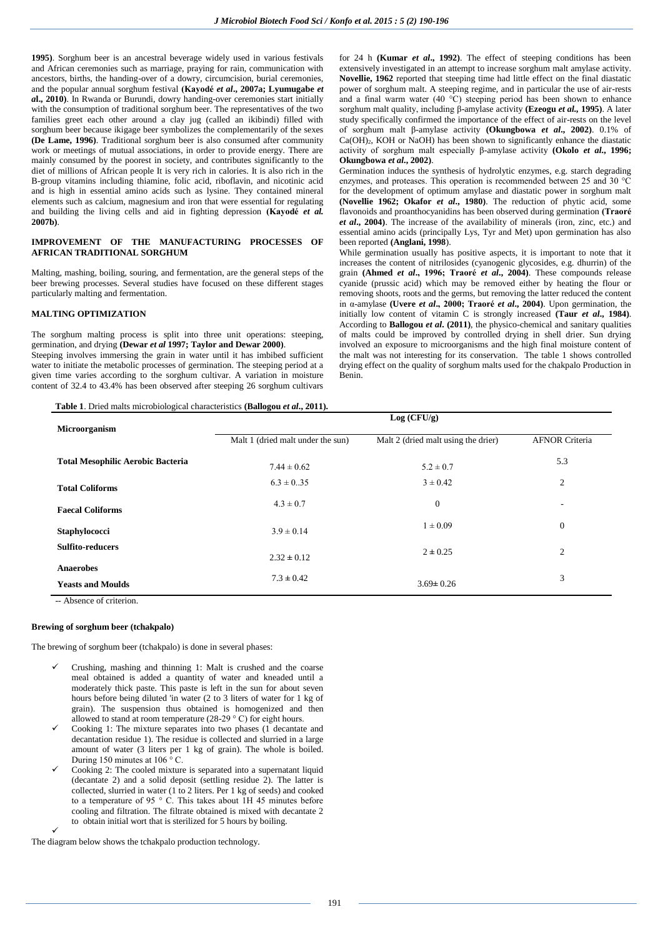**1995)**. Sorghum beer is an ancestral beverage widely used in various festivals and African ceremonies such as marriage, praying for rain, communication with ancestors, births, the handing-over of a dowry, circumcision, burial ceremonies, and the popular annual sorghum festival **(Kayodé** *et al***., 2007a; Lyumugabe** *et a***l., 2010)**. In Rwanda or Burundi, dowry handing-over ceremonies start initially with the consumption of traditional sorghum beer. The representatives of the two families greet each other around a clay jug (called an ikibindi) filled with sorghum beer because ikigage beer symbolizes the complementarily of the sexes **(De Lame, 1996)**. Traditional sorghum beer is also consumed after community work or meetings of mutual associations, in order to provide energy. There are mainly consumed by the poorest in society, and contributes significantly to the diet of millions of African people It is very rich in calories. It is also rich in the B-group vitamins including thiamine, folic acid, riboflavin, and nicotinic acid and is high in essential amino acids such as lysine. They contained mineral elements such as calcium, magnesium and iron that were essential for regulating and building the living cells and aid in fighting depression **(Kayodé** *et al.* **2007b)**.

#### **IMPROVEMENT OF THE MANUFACTURING PROCESSES OF AFRICAN TRADITIONAL SORGHUM**

Malting, mashing, boiling, souring, and fermentation, are the general steps of the beer brewing processes. Several studies have focused on these different stages particularly malting and fermentation.

## **MALTING OPTIMIZATION**

The sorghum malting process is split into three unit operations: steeping, germination, and drying **(Dewar** *et al* **1997; Taylor and Dewar 2000)**.

Steeping involves immersing the grain in water until it has imbibed sufficient water to initiate the metabolic processes of germination. The steeping period at a given time varies according to the sorghum cultivar. A variation in moisture content of 32.4 to 43.4% has been observed after steeping 26 sorghum cultivars

**Table 1**. Dried malts microbiological characteristics **(Ballogou** *et al***., 2011).**

for 24 h **(Kumar** *et al***., 1992)**. The effect of steeping conditions has been extensively investigated in an attempt to increase sorghum malt amylase activity. **Novellie, 1962** reported that steeping time had little effect on the final diastatic power of sorghum malt. A steeping regime, and in particular the use of air-rests and a final warm water (40  $^{\circ}$ C) steeping period has been shown to enhance sorghum malt quality, including β-amylase activity **(Ezeogu** *et al.,* **1995)**. A later study specifically confirmed the importance of the effect of air-rests on the level of sorghum malt β-amylase activity **(Okungbowa** *et al***., 2002)**. 0.1% of Ca(OH)2, KOH or NaOH) has been shown to significantly enhance the diastatic activity of sorghum malt especially β-amylase activity **(Okolo** *et al***., 1996; Okungbowa** *et al***., 2002)**.

Germination induces the synthesis of hydrolytic enzymes, e.g. starch degrading enzymes, and proteases. This operation is recommended between 25 and 30 °C for the development of optimum amylase and diastatic power in sorghum malt **(Novellie 1962; Okafor** *et al***., 1980)**. The reduction of phytic acid, some flavonoids and proanthocyanidins has been observed during germination **(Traoré**  *et al***., 2004)**. The increase of the availability of minerals (iron, zinc, etc.) and essential amino acids (principally Lys, Tyr and Met) upon germination has also been reported **(Anglani, 1998**).

While germination usually has positive aspects, it is important to note that it increases the content of nitrilosides (cyanogenic glycosides, e.g. dhurrin) of the grain **(Ahmed** *et al***., 1996; Traoré** *et al***., 2004)**. These compounds release cyanide (prussic acid) which may be removed either by heating the flour or removing shoots, roots and the germs, but removing the latter reduced the content in α-amylase **(Uvere** *et al***., 2000; Traoré** *et al***., 2004)**. Upon germination, the initially low content of vitamin C is strongly increased **(Taur** *et al***., 1984)**. According to **Ballogou** *et al***. (2011)**, the physico-chemical and sanitary qualities of malts could be improved by controlled drying in shell drier. Sun drying involved an exposure to microorganisms and the high final moisture content of the malt was not interesting for its conservation. The table 1 shows controlled drying effect on the quality of sorghum malts used for the chakpalo Production in Benin.

| Microorganism                                | Log (CFU/g)                       |                                     |                       |  |
|----------------------------------------------|-----------------------------------|-------------------------------------|-----------------------|--|
|                                              | Malt 1 (dried malt under the sun) | Malt 2 (dried malt using the drier) | <b>AFNOR Criteria</b> |  |
| <b>Total Mesophilic Aerobic Bacteria</b>     | $7.44 \pm 0.62$                   | $5.2 \pm 0.7$                       | 5.3                   |  |
| <b>Total Coliforms</b>                       | $6.3 \pm 0.35$                    | $3 \pm 0.42$                        | $\overline{2}$        |  |
| <b>Faecal Coliforms</b>                      | $4.3 \pm 0.7$                     | $\mathbf{0}$                        | ۰                     |  |
| Staphylococci                                | $3.9 \pm 0.14$                    | $1 \pm 0.09$                        | $\mathbf{0}$          |  |
| <b>Sulfito-reducers</b>                      | $2.32 \pm 0.12$                   | $2 \pm 0.25$                        | $\overline{2}$        |  |
| <b>Anaerobes</b><br><b>Yeasts and Moulds</b> | $7.3 \pm 0.42$                    | $3.69 \pm 0.26$                     | 3                     |  |

-- Absence of criterion.

#### **Brewing of sorghum beer (tchakpalo)**

The brewing of sorghum beer (tchakpalo) is done in several phases:

- Crushing, mashing and thinning 1: Malt is crushed and the coarse meal obtained is added a quantity of water and kneaded until a moderately thick paste. This paste is left in the sun for about seven hours before being diluted 'in water (2 to 3 liters of water for 1 kg of grain). The suspension thus obtained is homogenized and then allowed to stand at room temperature (28-29  $\degree$  C) for eight hours.
- Cooking 1: The mixture separates into two phases (1 decantate and decantation residue 1). The residue is collected and slurried in a large amount of water (3 liters per 1 kg of grain). The whole is boiled. During 150 minutes at 106  $\degree$  C.
- Cooking 2: The cooled mixture is separated into a supernatant liquid (decantate 2) and a solid deposit (settling residue 2). The latter is collected, slurried in water (1 to 2 liters. Per 1 kg of seeds) and cooked to a temperature of 95  $\degree$  C. This takes about 1H 45 minutes before cooling and filtration. The filtrate obtained is mixed with decantate 2 to obtain initial wort that is sterilized for 5 hours by boiling.  $\checkmark$

The diagram below shows the tchakpalo production technology.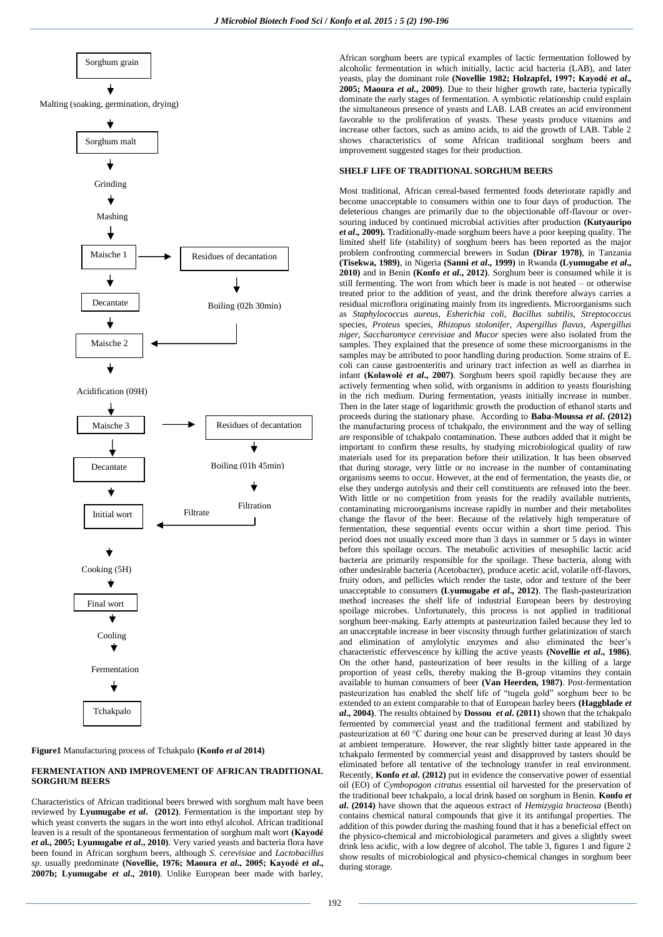

#### **Figure1** Manufacturing process of Tchakpalo **(Konfo** *et al* **2014)**

## **FERMENTATION AND IMPROVEMENT OF AFRICAN TRADITIONAL SORGHUM BEERS**

Characteristics of African traditional beers brewed with sorghum malt have been reviewed by **Lyumugabe** *et al***. (2012)**. Fermentation is the important step by which yeast converts the sugars in the wort into ethyl alcohol. African traditional leaven is a result of the spontaneous fermentation of sorghum malt wort **(Kayodé**  *et a***l., 2005; Lyumugabe** *et al***., 2010)**. Very varied yeasts and bacteria flora have been found in African sorghum beers, although *S. cerevisiae* and *Lactobacillus sp*. usually predominate **(Novellie, 1976; Maoura** *et al***., 2005; Kayodé** *et al***., 2007b; Lyumugabe** *et al***., 2010)**. Unlike European beer made with barley,

African sorghum beers are typical examples of lactic fermentation followed by alcoholic fermentation in which initially, lactic acid bacteria (LAB), and later yeasts, play the dominant role **(Novellie 1982; Holzapfel, 1997; Kayodé** *et al***., 2005; Maoura** *et al***., 2009)**. Due to their higher growth rate, bacteria typically dominate the early stages of fermentation. A symbiotic relationship could explain the simultaneous presence of yeasts and LAB. LAB creates an acid environment favorable to the proliferation of yeasts. These yeasts produce vitamins and increase other factors, such as amino acids, to aid the growth of LAB. Table 2 shows characteristics of some African traditional sorghum beers and improvement suggested stages for their production.

#### **SHELF LIFE OF TRADITIONAL SORGHUM BEERS**

Most traditional, African cereal-based fermented foods deteriorate rapidly and become unacceptable to consumers within one to four days of production. The deleterious changes are primarily due to the objectionable off-flavour or oversouring induced by continued microbial activities after production **(Kutyauripo**  *et al***., 2009).** Traditionally-made sorghum beers have a poor keeping quality. The limited shelf life (stability) of sorghum beers has been reported as the major problem confronting commercial brewers in Sudan **(Dirar 1978)**, in Tanzania **(Tisekwa, 1989)**, in Nigeria **(Sanni** *et al***., 1999)** in Rwanda **(Lyumugabe** *et al***., 2010)** and in Benin **(Konfo** *et al***., 2012)**. Sorghum beer is consumed while it is still fermenting. The wort from which beer is made is not heated – or otherwise treated prior to the addition of yeast, and the drink therefore always carries a residual microflora originating mainly from its ingredients. Microorganisms such as *Staphylococcus aureus, Esherichia coli, Bacillus subtilis, Streptococcus*  species*, Proteus* species*, Rhizopus stolonifer, Aspergillus flavus, Aspergillus niger, Saccharomyce cerevisiae* and *Mucor* species were also isolated from the samples. They explained that the presence of some these microorganisms in the samples may be attributed to poor handling during production. Some strains of E. coli can cause gastroenteritis and urinary tract infection as well as diarrhea in infant **(Kolawolé** *et al***., 2007)**. Sorghum beers spoil rapidly because they are actively fermenting when solid, with organisms in addition to yeasts flourishing in the rich medium. During fermentation, yeasts initially increase in number. Then in the later stage of logarithmic growth the production of ethanol starts and proceeds during the stationary phase. According to **Baba-Moussa** *et al***. (2012)** the manufacturing process of tchakpalo, the environment and the way of selling are responsible of tchakpalo contamination. These authors added that it might be important to confirm these results, by studying microbiological quality of raw materials used for its preparation before their utilization. It has been observed that during storage, very little or no increase in the number of contaminating organisms seems to occur. However, at the end of fermentation, the yeasts die, or else they undergo autolysis and their cell constituents are released into the beer. With little or no competition from yeasts for the readily available nutrients, contaminating microorganisms increase rapidly in number and their metabolites change the flavor of the beer. Because of the relatively high temperature of fermentation, these sequential events occur within a short time period. This period does not usually exceed more than 3 days in summer or 5 days in winter before this spoilage occurs. The metabolic activities of mesophilic lactic acid bacteria are primarily responsible for the spoilage. These bacteria, along with other undesirable bacteria (Acetobacter), produce acetic acid, volatile off-flavors, fruity odors, and pellicles which render the taste, odor and texture of the beer unacceptable to consumers **(Lyumugabe** *et al***., 2012)**. The flash-pasteurization method increases the shelf life of industrial European beers by destroying spoilage microbes. Unfortunately, this process is not applied in traditional sorghum beer-making. Early attempts at pasteurization failed because they led to an unacceptable increase in beer viscosity through further gelatinization of starch and elimination of amylolytic enzymes and also eliminated the beer's characteristic effervescence by killing the active yeasts **(Novellie** *et al***., 1986)**. On the other hand, pasteurization of beer results in the killing of a large proportion of yeast cells, thereby making the B-group vitamins they contain available to human consumers of beer **(Van Heerden, 1987)**. Post-fermentation pasteurization has enabled the shelf life of "tugela gold" sorghum beer to be extended to an extent comparable to that of European barley beers **(Haggblade** *et al***., 2004)**. The results obtained by **Dossou** *et al***. (2011)** shown that the tchakpalo fermented by commercial yeast and the traditional ferment and stabilized by pasteurization at 60 °C during one hour can be preserved during at least 30 days at ambient temperature. However, the rear slightly bitter taste appeared in the tchakpalo fermented by commercial yeast and disapproved by tasters should be eliminated before all tentative of the technology transfer in real environment. Recently, **Konfo** *et al***. (2012)** put in evidence the conservative power of essential oil (EO) of *Cymbopogon citratus* essential oil harvested for the preservation of the traditional beer tchakpalo, a local drink based on sorghum in Benin. **Konfo** *et al***. (2014)** have shown that the aqueous extract of *Hemizygia bracteosa* (Benth) contains chemical natural compounds that give it its antifungal properties. The addition of this powder during the mashing found that it has a beneficial effect on the physico-chemical and microbiological parameters and gives a slightly sweet drink less acidic, with a low degree of alcohol. The table 3, figures 1 and figure 2 show results of microbiological and physico-chemical changes in sorghum beer during storage.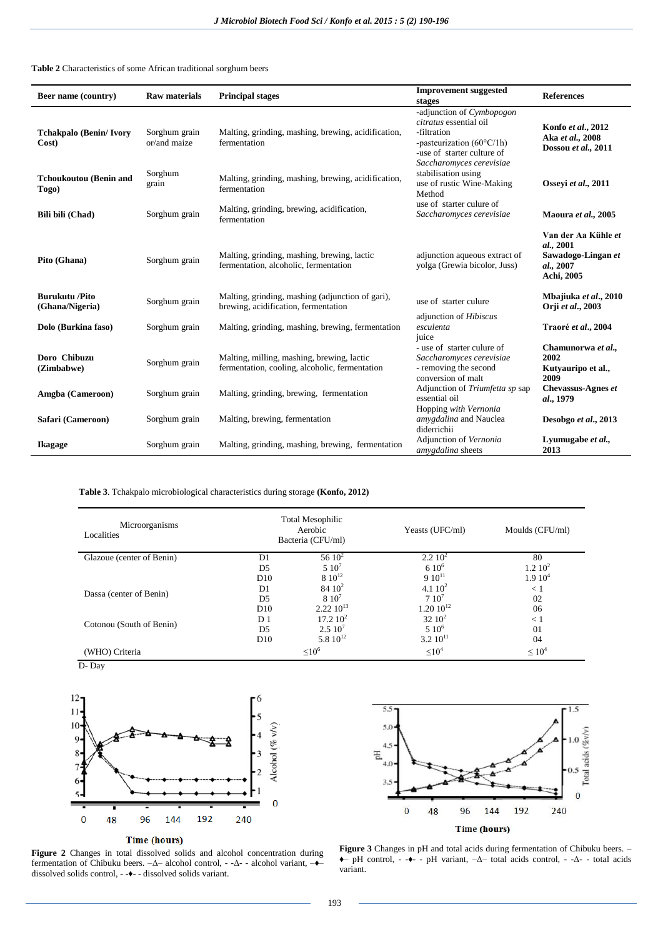## **Table 2** Characteristics of some African traditional sorghum beers

| Beer name (country)                      | <b>Raw materials</b>          | <b>Principal stages</b>                                                                      | <b>Improvement</b> suggested<br>stages                                                                                                                             | <b>References</b>                                                                 |
|------------------------------------------|-------------------------------|----------------------------------------------------------------------------------------------|--------------------------------------------------------------------------------------------------------------------------------------------------------------------|-----------------------------------------------------------------------------------|
| <b>Tchakpalo (Benin/Ivory</b><br>Cost)   | Sorghum grain<br>or/and maize | Malting, grinding, mashing, brewing, acidification,<br>fermentation                          | -adjunction of Cymbopogon<br>citratus essential oil<br>-filtration<br>-pasteurization $(60^{\circ}C/lh)$<br>-use of starter culture of<br>Saccharomyces cerevisiae | Konfo et al., 2012<br>Aka et al., 2008<br>Dossou et al., 2011                     |
| <b>Tchoukoutou (Benin and</b><br>Togo)   | Sorghum<br>grain              | Malting, grinding, mashing, brewing, acidification,<br>fermentation                          | stabilisation using<br>use of rustic Wine-Making<br>Method                                                                                                         | Ossevi et al., 2011                                                               |
| Bili bili (Chad)                         | Sorghum grain                 | Malting, grinding, brewing, acidification,<br>fermentation                                   | use of starter culure of<br>Saccharomyces cerevisiae                                                                                                               | Maoura et al., 2005                                                               |
| Pito (Ghana)                             | Sorghum grain                 | Malting, grinding, mashing, brewing, lactic<br>fermentation, alcoholic, fermentation         | adjunction aqueous extract of<br>yolga (Grewia bicolor, Juss)                                                                                                      | Van der Aa Kühle et<br>al., 2001<br>Sawadogo-Lingan et<br>al., 2007<br>Achi, 2005 |
| <b>Burukutu /Pito</b><br>(Ghana/Nigeria) | Sorghum grain                 | Malting, grinding, mashing (adjunction of gari),<br>brewing, acidification, fermentation     | use of starter culure                                                                                                                                              | Mbajiuka et al., 2010<br>Orji et al., 2003                                        |
| Dolo (Burkina faso)                      | Sorghum grain                 | Malting, grinding, mashing, brewing, fermentation                                            | adjunction of Hibiscus<br>esculenta<br>juice                                                                                                                       | Traoré et al., 2004                                                               |
| Doro Chibuzu<br>(Zimbabwe)               | Sorghum grain                 | Malting, milling, mashing, brewing, lactic<br>fermentation, cooling, alcoholic, fermentation | - use of starter culure of<br>Saccharomyces cerevisiae<br>- removing the second<br>conversion of malt                                                              | Chamunorwa et al.,<br>2002<br>Kutyauripo et al.,<br>2009                          |
| Amgba (Cameroon)                         | Sorghum grain                 | Malting, grinding, brewing, fermentation                                                     | Adjunction of Triumfetta sp sap<br>essential oil<br>Hopping with Vernonia                                                                                          | <b>Chevassus-Agnes et</b><br>al., 1979                                            |
| Safari (Cameroon)                        | Sorghum grain                 | Malting, brewing, fermentation                                                               | amygdalina and Nauclea<br>diderrichii                                                                                                                              | Desobgo et al., 2013                                                              |
| <b>Ikagage</b>                           | Sorghum grain                 | Malting, grinding, mashing, brewing, fermentation                                            | Adjunction of Vernonia<br>amygdalina sheets                                                                                                                        | Lyumugabe et al.,<br>2013                                                         |

# **Table 3**. Tchakpalo microbiological characteristics during storage **(Konfo, 2012)**

| Microorganisms<br>Localities | <b>Total Mesophilic</b><br>Aerobic<br>Bacteria (CFU/ml) |                | Yeasts (UFC/ml)    | Moulds (CFU/ml)     |  |
|------------------------------|---------------------------------------------------------|----------------|--------------------|---------------------|--|
| Glazoue (center of Benin)    | D1                                                      | 56 $10^2$      | 2.210 <sup>2</sup> | 80                  |  |
|                              | D <sub>5</sub>                                          | $510^7$        | $610^{6}$          | 1.2 10 <sup>2</sup> |  |
|                              | D10                                                     | $8\ 10^{12}$   | $910^{11}$         | 1.910 <sup>4</sup>  |  |
|                              | D <sub>1</sub>                                          | $84 \; 10^2$   | 4.1 $10^2$         | $\leq 1$            |  |
| Dassa (center of Benin)      | D <sub>5</sub>                                          | $810^{7}$      | $7.10^{7}$         | 02                  |  |
|                              | D10                                                     | $2.22~10^{13}$ | $1.20 10^{12}$     | 06                  |  |
|                              | D <sub>1</sub>                                          | $17.2~10^2$    | $32 \ 10^2$        | < 1                 |  |
| Cotonou (South of Benin)     | D <sub>5</sub>                                          | $2.510^{7}$    | $510^6$            | 01                  |  |
|                              | D10                                                     | 5.8 $10^{12}$  | $3.210^{11}$       | 04                  |  |
| (WHO) Criteria               |                                                         | $\leq 10^6$    | $\leq 10^4$        | $\leq 10^4$         |  |

D- Day



#### Time (hours)

**Figure 2** Changes in total dissolved solids and alcohol concentration during fermentation of Chibuku beers. –Δ– alcohol control, - -Δ- - alcohol variant, –♦– dissolved solids control, - -♦- - dissolved solids variant.



**Figure 3** Changes in pH and total acids during fermentation of Chibuku beers. – ♦– pH control, - -♦- - pH variant, –Δ– total acids control, - -Δ- - total acids variant.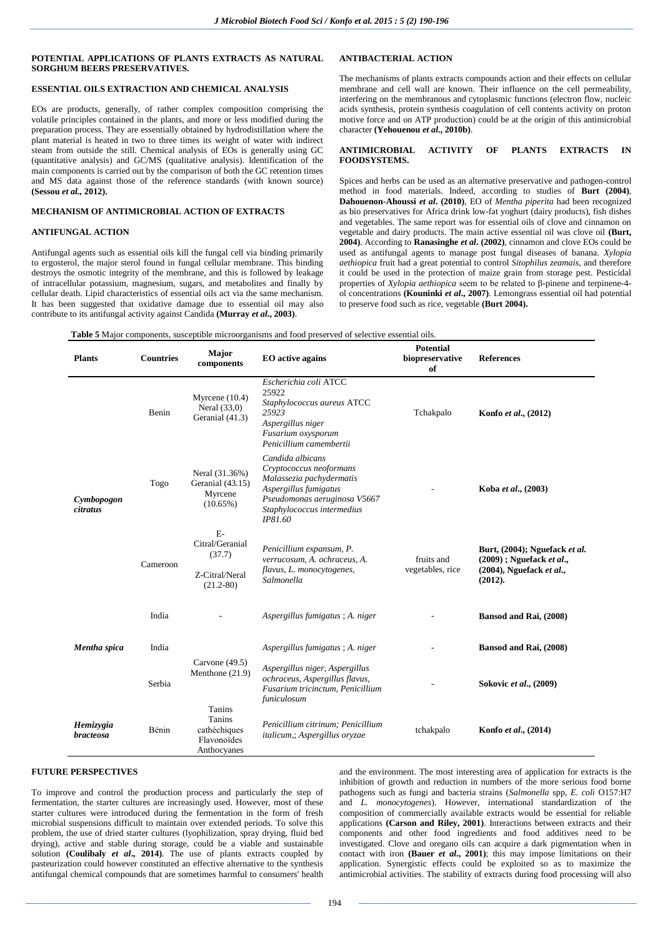## **POTENTIAL APPLICATIONS OF PLANTS EXTRACTS AS NATURAL SORGHUM BEERS PRESERVATIVES.**

## **ESSENTIAL OILS EXTRACTION AND CHEMICAL ANALYSIS**

EOs are products, generally, of rather complex composition comprising the volatile principles contained in the plants, and more or less modified during the preparation process. They are essentially obtained by hydrodistillation where the plant material is heated in two to three times its weight of water with indirect steam from outside the still. Chemical analysis of EOs is generally using GC (quantitative analysis) and GC/MS (qualitative analysis). Identification of the main components is carried out by the comparison of both the GC retention times and MS data against those of the reference standards (with known source) **(Sessou** *et al.,* **2012).**

#### **MECHANISM OF ANTIMICROBIAL ACTION OF EXTRACTS**

### **ANTIFUNGAL ACTION**

Antifungal agents such as essential oils kill the fungal cell via binding primarily to ergosterol, the major sterol found in fungal cellular membrane. This binding destroys the osmotic integrity of the membrane, and this is followed by leakage of intracellular potassium, magnesium, sugars, and metabolites and finally by cellular death. Lipid characteristics of essential oils act via the same mechanism. It has been suggested that oxidative damage due to essential oil may also contribute to its antifungal activity against Candida **(Murray** *et al***., 2003)**.

# **ANTIBACTERIAL ACTION**

The mechanisms of plants extracts compounds action and their effects on cellular membrane and cell wall are known. Their influence on the cell permeability, interfering on the membranous and cytoplasmic functions (electron flow, nucleic acids synthesis, protein synthesis coagulation of cell contents activity on proton motive force and on ATP production) could be at the origin of this antimicrobial character **(Yehouenou** *et al***., 2010b)**.

#### **ANTIMICROBIAL ACTIVITY OF PLANTS EXTRACTS IN FOODSYSTEMS.**

Spices and herbs can be used as an alternative preservative and pathogen-control method in food materials. Indeed, according to studies of **Burt (2004)**, **Dahouenon-Ahoussi** *et al***. (2010)**, EO of *Mentha piperita* had been recognized as bio preservatives for Africa drink low-fat yoghurt (dairy products), fish dishes and vegetables. The same report was for essential oils of clove and cinnamon on vegetable and dairy products. The main active essential oil was clove oil **(Burt, 2004)**. According to **Ranasinghe** *et al***. (2002)**, cinnamon and clove EOs could be used as antifungal agents to manage post fungal diseases of banana. *Xylopia aethiopica* fruit had a great potential to control *Sitophilus zeamais*, and therefore it could be used in the protection of maize grain from storage pest. Pesticidal properties of *Xylopia aethiopica* seem to be related to β-pinene and terpinene-4 ol concentrations **(Kouninki** *et al***., 2007)**. Lemongrass essential oil had potential to preserve food such as rice, vegetable **(Burt 2004).**

| <b>Table 5</b> Major components, susceptible microorganisms and food preserved of selective essential oils. |  |  |  |
|-------------------------------------------------------------------------------------------------------------|--|--|--|
|                                                                                                             |  |  |  |

| <b>Plants</b>                 | <b>Countries</b> | Major<br>components                                                  | <b>EO</b> active agains                                                                                                                                                   | <b>Potential</b><br>biopreservative<br>of | <b>References</b>                                                                                      |
|-------------------------------|------------------|----------------------------------------------------------------------|---------------------------------------------------------------------------------------------------------------------------------------------------------------------------|-------------------------------------------|--------------------------------------------------------------------------------------------------------|
|                               | Benin            | Myrcene $(10.4)$<br>Neral $(33,0)$<br>Geranial (41.3)                | Escherichia coli ATCC<br>25922<br>Staphylococcus aureus ATCC<br>25923<br>Aspergillus niger<br>Fusarium oxysporum<br>Penicillium camembertii                               | Tchakpalo                                 | Konfo et al., (2012)                                                                                   |
| Cymbopogon<br><i>citratus</i> | Togo             | Neral (31.36%)<br>Geranial (43.15)<br>Myrcene<br>$(10.65\%)$         | Candida albicans<br>Cryptococcus neoformans<br>Malassezia pachydermatis<br>Aspergillus fumigatus<br>Pseudomonas aeruginosa V5667<br>Staphylococcus intermedius<br>IP81.60 |                                           | Koba et al., (2003)                                                                                    |
|                               | Cameroon         | $E-$<br>Citral/Geranial<br>(37.7)<br>Z-Citral/Neral<br>$(21.2 - 80)$ | Penicillium expansum, P.<br>verrucosum, A. ochraceus, A.<br>flavus, L. monocytogenes,<br>Salmonella                                                                       | fruits and<br>vegetables, rice            | Burt, (2004); Nguefack et al.<br>$(2009)$ ; Nguefack et al.,<br>$(2004)$ , Nguefack et al.,<br>(2012). |
|                               | India            |                                                                      | Aspergillus fumigatus; A. niger                                                                                                                                           |                                           | Bansod and Rai, (2008)                                                                                 |
| Mentha spica                  | India            |                                                                      | Aspergillus fumigatus; A. niger                                                                                                                                           |                                           | Bansod and Rai, (2008)                                                                                 |
|                               | Serbia           | Carvone $(49.5)$<br>Menthone (21.9)                                  | Aspergillus niger, Aspergillus<br>ochraceus, Aspergillus flavus,<br>Fusarium tricinctum, Penicillium<br>funiculosum                                                       |                                           | Sokovic et al., (2009)                                                                                 |
| Hemizygia<br><b>bracteosa</b> | Bénin            | Tanins<br>Tanins<br>cathéchiques<br>Flavonoïdes<br>Anthocyanes       | Penicillium citrinum; Penicillium<br>italicum,; Aspergillus oryzae                                                                                                        | tchakpalo                                 | Konfo et al., (2014)                                                                                   |

## **FUTURE PERSPECTIVES**

To improve and control the production process and particularly the step of fermentation, the starter cultures are increasingly used. However, most of these starter cultures were introduced during the fermentation in the form of fresh microbial suspensions difficult to maintain over extended periods. To solve this problem, the use of dried starter cultures (lyophilization, spray drying, fluid bed drying), active and stable during storage, could be a viable and sustainable solution **(Coulibaly** *et al***., 2014)**. The use of plants extracts coupled by pasteurization could however constituted an effective alternative to the synthesis antifungal chemical compounds that are sometimes harmful to consumers' health and the environment. The most interesting area of application for extracts is the inhibition of growth and reduction in numbers of the more serious food borne pathogens such as fungi and bacteria strains (*Salmonella* spp, *E. coli* O157:H7 and *L. monocytogenes*). However, international standardization of the composition of commercially available extracts would be essential for reliable applications **(Carson and Riley, 2001)**. Interactions between extracts and their components and other food ingredients and food additives need to be investigated. Clove and oregano oils can acquire a dark pigmentation when in contact with iron **(Bauer** *et al.***, 2001)**; this may impose limitations on their application. Synergistic effects could be exploited so as to maximize the antimicrobial activities. The stability of extracts during food processing will also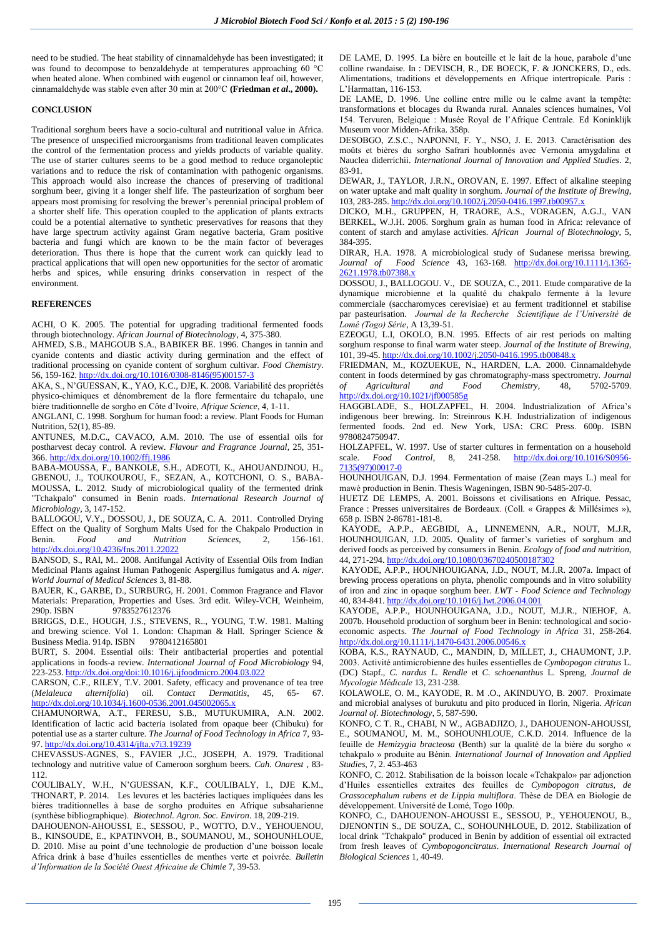need to be studied. The heat stability of cinnamaldehyde has been investigated; it was found to decompose to benzaldehyde at temperatures approaching 60 °C when heated alone. When combined with eugenol or cinnamon leaf oil, however, cinnamaldehyde was stable even after 30 min at 200°C **(Friedman** *et al***., 2000).**

#### **CONCLUSION**

Traditional sorghum beers have a socio-cultural and nutritional value in Africa. The presence of unspecified microorganisms from traditional leaven complicates the control of the fermentation process and yields products of variable quality. The use of starter cultures seems to be a good method to reduce organoleptic variations and to reduce the risk of contamination with pathogenic organisms. This approach would also increase the chances of preserving of traditional sorghum beer, giving it a longer shelf life. The pasteurization of sorghum beer appears most promising for resolving the brewer's perennial principal problem of a shorter shelf life. This operation coupled to the application of plants extracts could be a potential alternative to synthetic preservatives for reasons that they have large spectrum activity against Gram negative bacteria, Gram positive bacteria and fungi which are known to be the main factor of beverages deterioration. Thus there is hope that the current work can quickly lead to practical applications that will open new opportunities for the sector of aromatic herbs and spices, while ensuring drinks conservation in respect of the environment.

## **REFERENCES**

ACHI, O K. 2005. The potential for upgrading traditional fermented foods through biotechnology. *African Journal of Biotechnology*, 4, 375-380.

AHMED, S.B., MAHGOUB S.A., BABIKER BE. 1996. Changes in tannin and cyanide contents and diastic activity during germination and the effect of traditional processing on cyanide content of sorghum cultivar. *Food Chemistry*. 56, 159-162[. http://dx.doi.org/10.1016/0308-8146\(95\)00157-3](http://dx.doi.org/10.1016/0308-8146(95)00157-3)

AKA, S., N'GUESSAN, K., YAO, K.C., DJE, K. 2008. Variabilité des propriétés physico-chimiques et dénombrement de la flore fermentaire du tchapalo, une bière traditionnelle de sorgho en Côte d'Ivoire, *Afrique Science*, 4, 1-11.

ANGLANI, C. 1998. Sorghum for human food: a review. Plant Foods for Human Nutrition, 52(1), 85-89.

ANTUNES, M.D.C., CAVACO, A.M. 2010. The use of essential oils for postharvest decay control. A review. *Flavour and Fragrance Journal*, 25, 351- 366. <http://dx.doi.org/10.1002/ffj.1986>

BABA-MOUSSA, F., BANKOLE, S.H., ADEOTI, K., AHOUANDJNOU, H., GBENOU, J., TOUKOUROU, F., SEZAN, A., KOTCHONI, O. S., BABA-MOUSSA, L. 2012. Study of microbiological quality of the fermented drink "Tchakpalo" consumed in Benin roads. *International Research Journal of Microbiology*, 3, 147-152.

BALLOGOU, V.Y., DOSSOU, J., DE SOUZA, C. A. 2011. Controlled Drying Effect on the Quality of Sorghum Malts Used for the Chakpalo Production in Benin. *Food and Nutrition Sciences*, 2, 156-161. <http://dx.doi.org/10.4236/fns.2011.22022>

BANSOD, S., RAI, M.. 2008. Antifungal Activity of Essential Oils from Indian Medicinal Plants against Human Pathogenic Aspergillus fumigatus and *A. niger*. *World Journal of Medical Sciences* 3, 81-88.

BAUER, K., GARBE, D., SURBURG, H. 2001. Common Fragrance and Flavor Materials: Preparation, Properties and Uses. 3rd edit. Wiley-VCH, Weinheim, 290p. ISBN 9783527612376

BRIGGS, D.E., HOUGH, J.S., STEVENS, R.., YOUNG, T.W. 1981. Malting and brewing science. Vol 1. London: Chapman & Hall. Springer Science & Business Media. 914p. ISBN 9780412165801

BURT, S. 2004. Essential oils: Their antibacterial properties and potential applications in foods-a review. *International Journal of Food Microbiology* 94, 223-253[. http://dx.doi.org/doi:10.1016/j.ijfoodmicro.2004.03.022](http://dx.doi.org/doi:10.1016/j.ijfoodmicro.2004.03.022)

CARSON, C.F., RILEY, T.V. 2001. Safety, efficacy and provenance of tea tree (*Melaleuca alternifolia*) oil. *Contact Dermatitis*, 45, 65- 67. <http://dx.doi.org/10.1034/j.1600-0536.2001.045002065.x>

CHAMUNORWA, A.T., FERESU, S.B., MUTUKUMIRA, A.N. 2002. Identification of lactic acid bacteria isolated from opaque beer (Chibuku) for potential use as a starter culture. *The Journal of Food Technology in Africa* 7, 93- 97[. http://dx.doi.org/10.4314/jfta.v7i3.19239](http://dx.doi.org/10.4314/jfta.v7i3.19239)

CHEVASSUS-AGNES, S., FAVIER ,J.C., JOSEPH, A. 1979. Traditional technology and nutritive value of Cameroon sorghum beers. *Cah. Onarest* , 83- 112.

COULIBALY, W.H., N'GUESSAN, K.F., COULIBALY, I., DJE K.M., THONART, P. 2014. Les levures et les bactéries lactiques impliquées dans les bières traditionnelles à base de sorgho produites en Afrique subsaharienne (synthèse bibliographique). *Biotechnol. Agron. Soc. Environ*. 18, 209-219.

DAHOUENON-AHOUSSI, E., SESSOU, P., WOTTO, D.V., YEHOUENOU, B., KINSOUDE, E., KPATINVOH, B., SOUMANOU, M., SOHOUNHLOUE, D. 2010. Mise au point d'une technologie de production d'une boisson locale Africa drink à base d'huiles essentielles de menthes verte et poivrée. *Bulletin d'Information de la Société Ouest Africaine de Chimie* 7, 39-53.

DE LAME, D. 1995. La bière en bouteille et le lait de la houe, parabole d'une colline rwandaise. In : DEVISCH, R., DE BOECK, F. & JONCKERS, D., eds. Alimentations, traditions et développements en Afrique intertropicale. Paris : L'Harmattan, 116-153.

DE LAME, D. 1996. Une colline entre mille ou le calme avant la tempête: transformations et blocages du Rwanda rural. Annales sciences humaines, Vol 154. Tervuren, Belgique : Musée Royal de l'Afrique Centrale. Ed Koninklijk Museum voor Midden-Afrika. 358p.

DESOBGO, Z.S.C., NAPONNI, F. Y., NSO, J. E. 2013. Caractérisation des moûts et bières du sorgho Safrari houblonnés avec Vernonia amygdalina et Nauclea diderrichii. *International Journal of Innovation and Applied Studies*. 2, 83-91.

DEWAR, J., TAYLOR, J.R.N., OROVAN, E. 1997. Effect of alkaline steeping on water uptake and malt quality in sorghum. *Journal of the Institute of Brewing*, 103, 283-285. <http://dx.doi.org/10.1002/j.2050-0416.1997.tb00957.x>

DICKO, M.H., GRUPPEN, H, TRAORE, A.S., VORAGEN, A.G.J., VAN BERKEL, W.J.H. 2006. Sorghum grain as human food in Africa: relevance of content of starch and amylase activities. *African Journal of Biotechnology*, 5, 384-395.

DIRAR, H.A. 1978. A microbiological study of Sudanese merissa brewing. *Journal of Food Science* 43, 163-168. [http://dx.doi.org/10.1111/j.1365-](http://dx.doi.org/10.1111/j.1365-2621.1978.tb07388.x) [2621.1978.tb07388.x](http://dx.doi.org/10.1111/j.1365-2621.1978.tb07388.x)

DOSSOU, J., BALLOGOU. V., DE SOUZA, C., 2011. Etude comparative de la dynamique microbienne et la qualité du chakpalo fermente à la levure commerciale (saccharomyces cerevisiae) et au ferment traditionnel et stabilise par pasteurisation. *Journal de la Recherche Scientifique de l'Université de Lomé (Togo) Série*, A 13,39-51.

EZEOGU, L.I, OKOLO, B.N. 1995. Effects of air rest periods on malting sorghum response to final warm water steep. *Journal of the Institute of Brewing*, 101, 39-45. <http://dx.doi.org/10.1002/j.2050-0416.1995.tb00848.x>

FRIEDMAN, M., KOZUEKUE, N., HARDEN, L.A. 2000. Cinnamaldehyde content in foods determined by gas chromatography-mass spectrometry. *Journal of Agricultural and Food Chemistry*, 48, 5702-5709. <http://dx.doi.org/10.1021/jf000585g>

HAGGBLADE, S., HOLZAPFEL, H. 2004. Industrialization of Africa's indigenous beer brewing. In: Streinrous K.H. Industrialization of indigenous fermented foods. 2nd ed. New York, USA: CRC Press. 600p. ISBN 9780824750947.

HOLZAPFEL, W. 1997. Use of starter cultures in fermentation on a household scale. *Food Control*, 8, 241-258. [http://dx.doi.org/10.1016/S0956-](http://dx.doi.org/10.1016/S0956-7135(97)00017-0) [7135\(97\)00017-0](http://dx.doi.org/10.1016/S0956-7135(97)00017-0)

HOUNHOUIGAN, D.J. 1994. Fermentation of maise (Zean mays L.) meal for mawè production in Benin. Thesis Wageningen, ISBN 90-5485-207-0.

HUETZ DE LEMPS, A. 2001. Boissons et civilisations en Afrique. Pessac, France : Presses universitaires de Bordeaux. (Coll. « Grappes & Millésimes »), 658 p. ISBN 2-86781-181-8.

KAYODE, A.P.P., AEGBIDI, A., LINNEMENN, A.R., NOUT, M.J.R, HOUNHOUIGAN, J.D. 2005. Quality of farmer's varieties of sorghum and derived foods as perceived by consumers in Benin. *Ecology of food and nutrition*, 44, 271-294[. http://dx.doi.org/10.1080/03670240500187302](http://dx.doi.org/10.1080/03670240500187302)

KAYODE, A.P.P., HOUNHOUIGANA, J.D., NOUT, M.J.R. 2007a. Impact of brewing process operations on phyta, phenolic compounds and in vitro solubility of iron and zinc in opaque sorghum beer. *LWT - Food Science and Technology* 40, 834-841[. http://dx.doi.org/10.1016/j.lwt.2006.04.001](http://dx.doi.org/10.1016/j.lwt.2006.04.001)

KAYODE, A.P.P., HOUNHOUIGANA, J.D., NOUT, M.J.R., NIEHOF, A. 2007b. Household production of sorghum beer in Benin: technological and socioeconomic aspects. *The Journal of Food Technology in Africa* 31, 258-264. <http://dx.doi.org/10.1111/j.1470-6431.2006.00546.x>

KOBA, K.S., RAYNAUD, C., MANDIN, D, MILLET, J., CHAUMONT, J.P. 2003. Activité antimicrobienne des huiles essentielles de *Cymbopogon citratus* L. (DC) Stapf., *C. nardus L. Rendle* et *C. schoenanthus* L. Spreng, *Journal de Mycologie Médicale* 13, 231-238.

KOLAWOLE, O. M., KAYODE, R. M .O., AKINDUYO, B. 2007. Proximate and microbial analyses of burukutu and pito produced in Ilorin, Nigeria. *African Journal of. Biotechnology*, 5, 587-590.

KONFO, C T. R., CHABI, N W., AGBADJIZO, J., DAHOUENON-AHOUSSI, E., SOUMANOU, M. M., SOHOUNHLOUE, C.K.D. 2014. Influence de la feuille de *Hemizygia bracteosa* (Benth) sur la qualité de la bière du sorgho « tchakpalo » produite au Bénin. *International Journal of Innovation and Applied Studies*, 7, 2. 453-463

KONFO, C. 2012. Stabilisation de la boisson locale «Tchakpalo» par adjonction d'Huiles essentielles extraites des feuilles de *Cymbopogon citratus, de Crassocephalum rubens et de Lippia multiflora*. Thèse de DEA en Biologie de développement. Université de Lomé, Togo 100p.

KONFO, C., DAHOUENON-AHOUSSI E., SESSOU, P., YEHOUENOU, B., DJENONTIN S., DE SOUZA, C., SOHOUNHLOUE, D. 2012. Stabilization of local drink "Tchakpalo" produced in Benin by addition of essential oil extracted from fresh leaves of *Cymbopogoncitratus*. *International Research Journal of Biological Sciences* 1, 40-49.